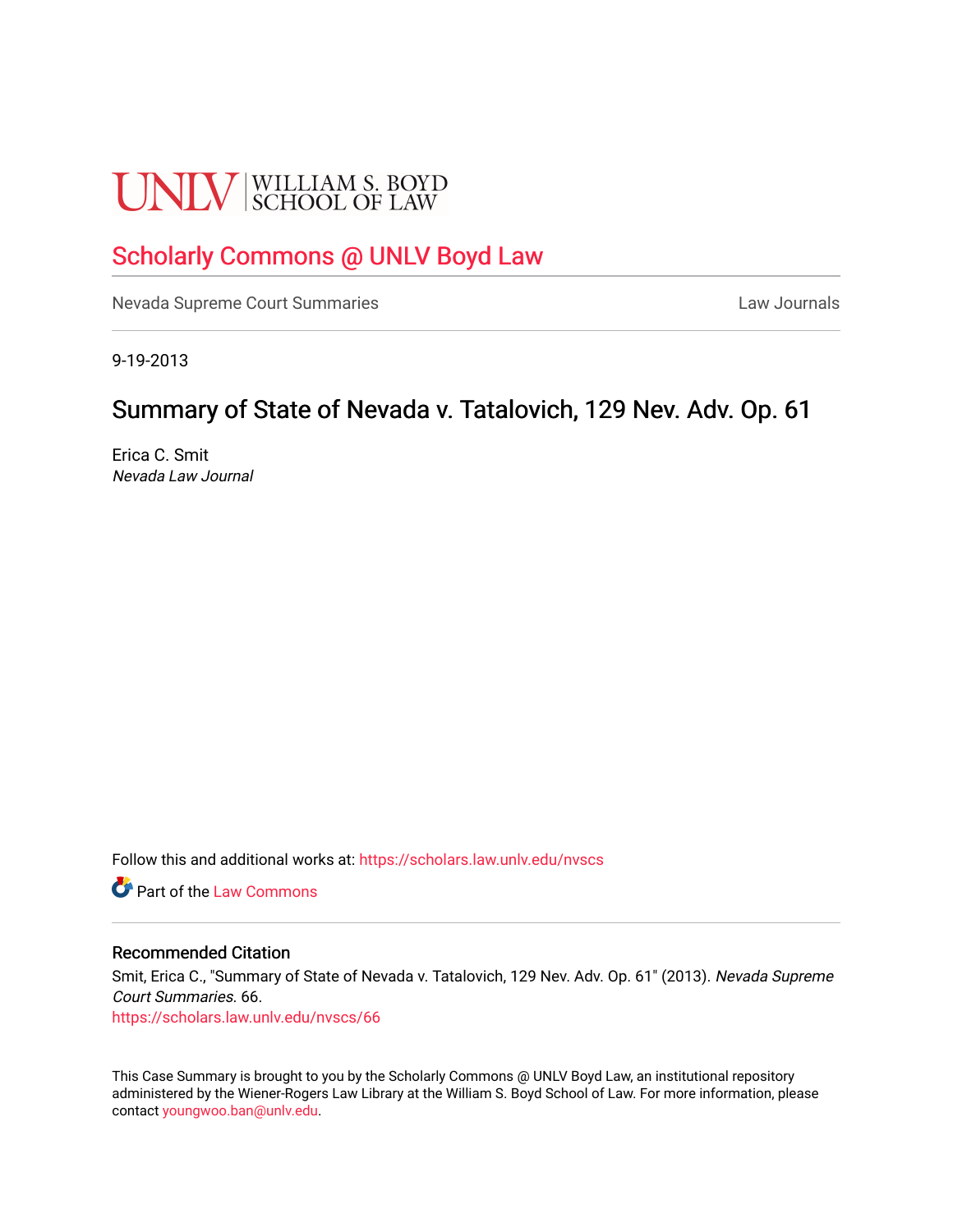# **UNLV** SCHOOL OF LAW

# [Scholarly Commons @ UNLV Boyd Law](https://scholars.law.unlv.edu/)

[Nevada Supreme Court Summaries](https://scholars.law.unlv.edu/nvscs) **Law Journals** Law Journals

9-19-2013

# Summary of State of Nevada v. Tatalovich, 129 Nev. Adv. Op. 61

Erica C. Smit Nevada Law Journal

Follow this and additional works at: [https://scholars.law.unlv.edu/nvscs](https://scholars.law.unlv.edu/nvscs?utm_source=scholars.law.unlv.edu%2Fnvscs%2F66&utm_medium=PDF&utm_campaign=PDFCoverPages)

**C** Part of the [Law Commons](http://network.bepress.com/hgg/discipline/578?utm_source=scholars.law.unlv.edu%2Fnvscs%2F66&utm_medium=PDF&utm_campaign=PDFCoverPages)

## Recommended Citation

Smit, Erica C., "Summary of State of Nevada v. Tatalovich, 129 Nev. Adv. Op. 61" (2013). Nevada Supreme Court Summaries. 66.

[https://scholars.law.unlv.edu/nvscs/66](https://scholars.law.unlv.edu/nvscs/66?utm_source=scholars.law.unlv.edu%2Fnvscs%2F66&utm_medium=PDF&utm_campaign=PDFCoverPages) 

This Case Summary is brought to you by the Scholarly Commons @ UNLV Boyd Law, an institutional repository administered by the Wiener-Rogers Law Library at the William S. Boyd School of Law. For more information, please contact [youngwoo.ban@unlv.edu](mailto:youngwoo.ban@unlv.edu).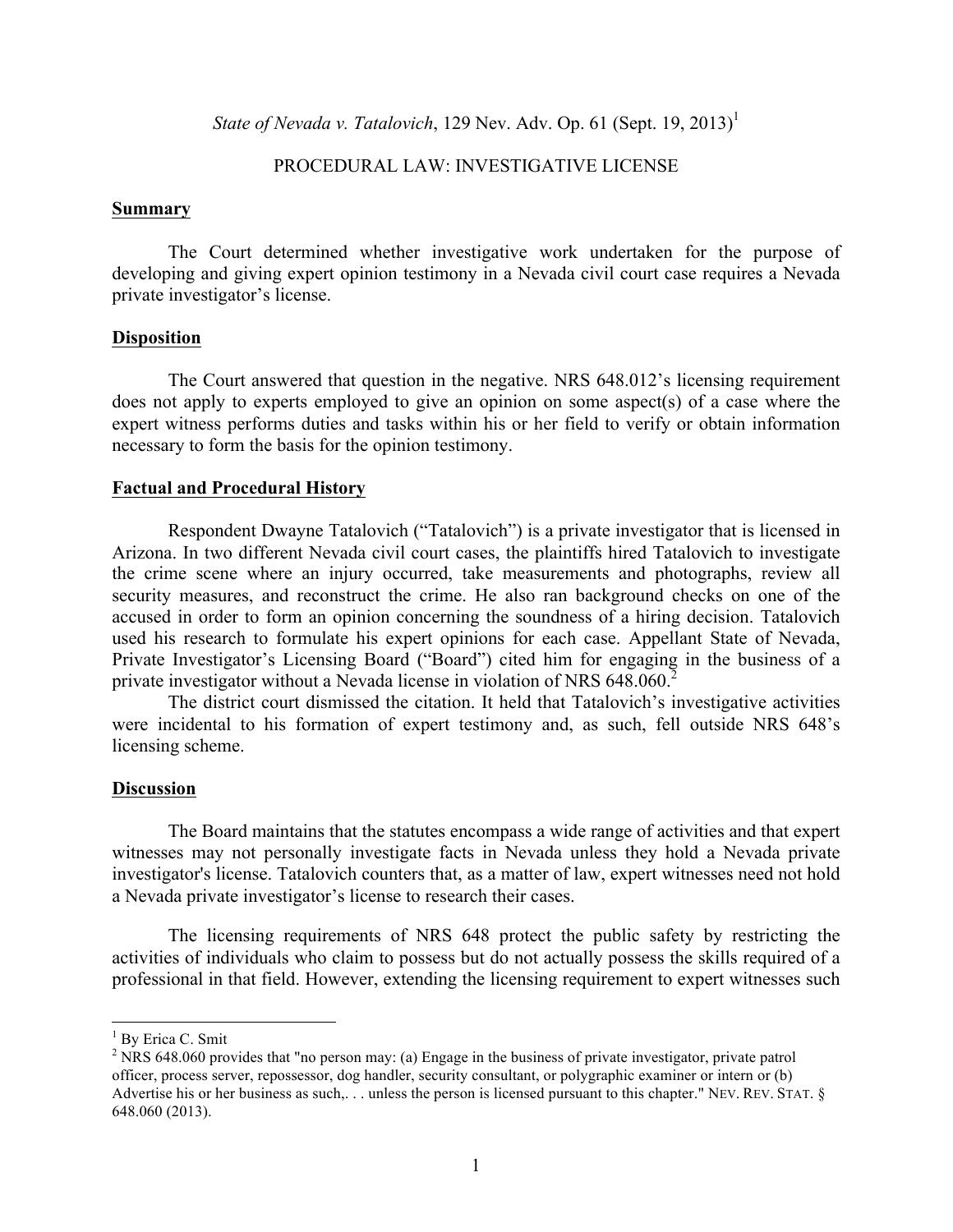*State of Nevada v. Tatalovich*, 129 Nev. Adv. Op. 61 (Sept. 19, 2013)<sup>1</sup>

# PROCEDURAL LAW: INVESTIGATIVE LICENSE

#### **Summary**

The Court determined whether investigative work undertaken for the purpose of developing and giving expert opinion testimony in a Nevada civil court case requires a Nevada private investigator's license.

## **Disposition**

The Court answered that question in the negative. NRS 648.012's licensing requirement does not apply to experts employed to give an opinion on some aspect(s) of a case where the expert witness performs duties and tasks within his or her field to verify or obtain information necessary to form the basis for the opinion testimony.

# **Factual and Procedural History**

Respondent Dwayne Tatalovich ("Tatalovich") is a private investigator that is licensed in Arizona. In two different Nevada civil court cases, the plaintiffs hired Tatalovich to investigate the crime scene where an injury occurred, take measurements and photographs, review all security measures, and reconstruct the crime. He also ran background checks on one of the accused in order to form an opinion concerning the soundness of a hiring decision. Tatalovich used his research to formulate his expert opinions for each case. Appellant State of Nevada, Private Investigator's Licensing Board ("Board") cited him for engaging in the business of a private investigator without a Nevada license in violation of NRS 648.060.<sup>2</sup>

The district court dismissed the citation. It held that Tatalovich's investigative activities were incidental to his formation of expert testimony and, as such, fell outside NRS 648's licensing scheme.

#### **Discussion**

The Board maintains that the statutes encompass a wide range of activities and that expert witnesses may not personally investigate facts in Nevada unless they hold a Nevada private investigator's license. Tatalovich counters that, as a matter of law, expert witnesses need not hold a Nevada private investigator's license to research their cases.

The licensing requirements of NRS 648 protect the public safety by restricting the activities of individuals who claim to possess but do not actually possess the skills required of a professional in that field. However, extending the licensing requirement to expert witnesses such

 $<sup>1</sup>$  By Erica C. Smit</sup>

<sup>&</sup>lt;sup>2</sup> NRS 648.060 provides that "no person may: (a) Engage in the business of private investigator, private patrol officer, process server, repossessor, dog handler, security consultant, or polygraphic examiner or intern or (b) Advertise his or her business as such,... unless the person is licensed pursuant to this chapter." NEV. REV. STAT. § 648.060 (2013).